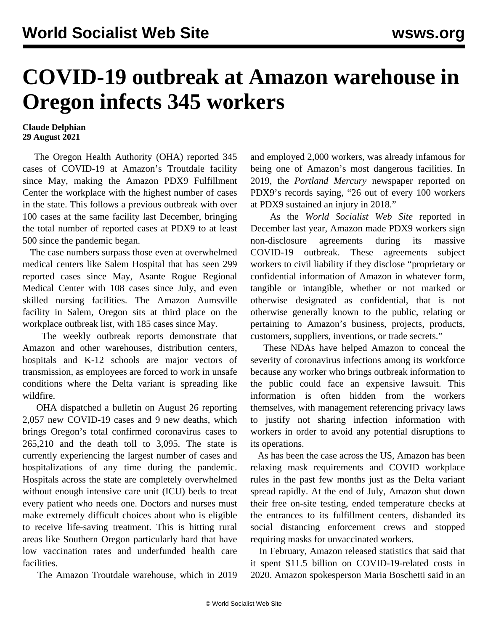## **COVID-19 outbreak at Amazon warehouse in Oregon infects 345 workers**

## **Claude Delphian 29 August 2021**

 The Oregon Health Authority (OHA) reported 345 cases of COVID-19 at Amazon's Troutdale facility since May, making the Amazon PDX9 Fulfillment Center the workplace with the highest number of cases in the state. This follows a [previous outbreak](/en/articles/2020/12/08/amaz-d08.html) with over 100 cases at the same facility last December, bringing the total number of reported cases at PDX9 to at least 500 since the pandemic began.

 The case numbers surpass those even at overwhelmed medical centers like Salem Hospital that has seen 299 reported cases since May, Asante Rogue Regional Medical Center with 108 cases since July, and even skilled nursing facilities. The Amazon Aumsville facility in Salem, Oregon sits at third place on the workplace outbreak list, with 185 cases since May.

 The weekly outbreak reports demonstrate that Amazon and other warehouses, distribution centers, hospitals and K-12 schools are major vectors of transmission, as employees are forced to work in unsafe conditions where the Delta variant is spreading like wildfire.

 OHA dispatched a bulletin on August 26 reporting 2,057 new COVID-19 cases and 9 new deaths, which brings Oregon's total confirmed coronavirus cases to 265,210 and the death toll to 3,095. The state is currently experiencing the largest number of cases and hospitalizations of any time during the pandemic. [Hospitals across the state are completely overwhelmed](/en/articles/2021/08/18/guar-a18.html) without enough intensive care unit (ICU) beds to treat every patient who needs one. Doctors and nurses must make extremely difficult choices about who is eligible to receive life-saving treatment. This is hitting rural areas like Southern Oregon particularly hard that have low vaccination rates and underfunded health care facilities.

The Amazon Troutdale warehouse, which in 2019

and employed 2,000 workers, was already infamous for being one of Amazon's most dangerous facilities. In 2019, the *Portland Mercury* newspaper reported on PDX9's records saying, "26 out of every 100 workers at PDX9 sustained an injury in 2018."

 As the *World Socialist Web Site* [reported](/en/articles/2020/12/08/amaz-d08.html) in [December](/en/articles/2020/12/08/amaz-d08.html) last year, Amazon made PDX9 workers sign non-disclosure agreements during its massive COVID-19 outbreak. These agreements subject workers to civil liability if they disclose "proprietary or confidential information of Amazon in whatever form, tangible or intangible, whether or not marked or otherwise designated as confidential, that is not otherwise generally known to the public, relating or pertaining to Amazon's business, projects, products, customers, suppliers, inventions, or trade secrets."

 These NDAs have helped Amazon to conceal the severity of coronavirus infections among its workforce because any worker who brings outbreak information to the public could face an expensive lawsuit. This information is often hidden from the workers themselves, with management referencing privacy laws to justify not sharing infection information with workers in order to avoid any potential disruptions to its operations.

 As has been the case across the US, Amazon has been relaxing mask requirements and COVID workplace rules in the past few months just as the Delta variant spread rapidly. At the end of July, Amazon shut down their free on-site testing, ended temperature checks at the entrances to its fulfillment centers, disbanded its social distancing enforcement crews and stopped requiring masks for unvaccinated workers.

 In February, Amazon released statistics that said that it spent \$11.5 billion on COVID-19-related costs in 2020. Amazon spokesperson Maria Boschetti said in an